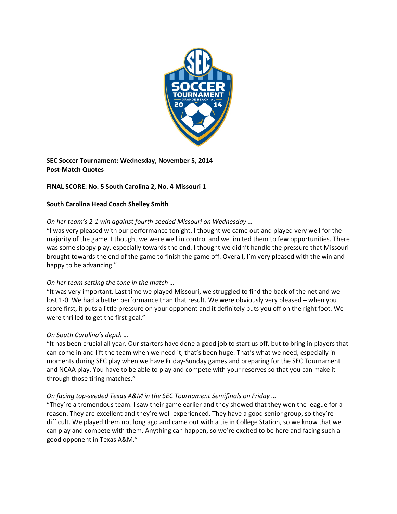

**SEC Soccer Tournament: Wednesday, November 5, 2014 Post‐Match Quotes**

# **FINAL SCORE: No. 5 South Carolina 2, No. 4 Missouri 1**

### **South Carolina Head Coach Shelley Smith**

## *On her team's 2‐1 win against fourth‐seeded Missouri on Wednesday …*

"I was very pleased with our performance tonight. I thought we came out and played very well for the majority of the game. I thought we were well in control and we limited them to few opportunities. There was some sloppy play, especially towards the end. I thought we didn't handle the pressure that Missouri brought towards the end of the game to finish the game off. Overall, I'm very pleased with the win and happy to be advancing."

## *On her team setting the tone in the match …*

"It was very important. Last time we played Missouri, we struggled to find the back of the net and we lost 1‐0. We had a better performance than that result. We were obviously very pleased – when you score first, it puts a little pressure on your opponent and it definitely puts you off on the right foot. We were thrilled to get the first goal."

## *On South Carolina's depth …*

"It has been crucial all year. Our starters have done a good job to start us off, but to bring in players that can come in and lift the team when we need it, that's been huge. That's what we need, especially in moments during SEC play when we have Friday‐Sunday games and preparing for the SEC Tournament and NCAA play. You have to be able to play and compete with your reserves so that you can make it through those tiring matches."

### *On facing top‐seeded Texas A&M in the SEC Tournament Semifinals on Friday …*

"They're a tremendous team. I saw their game earlier and they showed that they won the league for a reason. They are excellent and they're well‐experienced. They have a good senior group, so they're difficult. We played them not long ago and came out with a tie in College Station, so we know that we can play and compete with them. Anything can happen, so we're excited to be here and facing such a good opponent in Texas A&M."